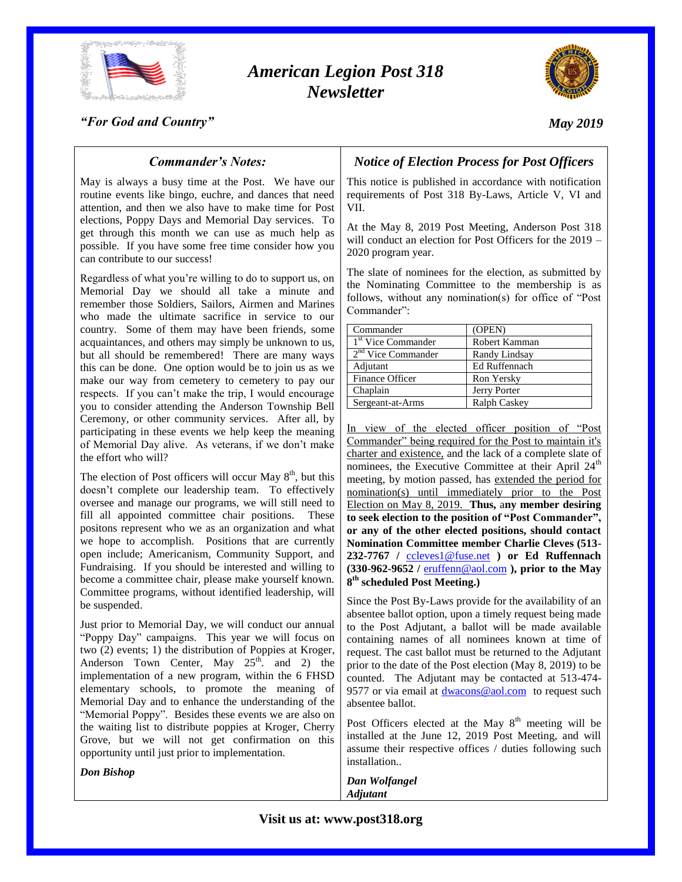

# *American Legion Post 318 Newsletter*



*"For God and Country"*

## *May 2019*

## *Commander's Notes:*

May is always a busy time at the Post. We have our routine events like bingo, euchre, and dances that need attention, and then we also have to make time for Post elections, Poppy Days and Memorial Day services. To get through this month we can use as much help as possible. If you have some free time consider how you can contribute to our success!

Regardless of what you're willing to do to support us, on Memorial Day we should all take a minute and remember those Soldiers, Sailors, Airmen and Marines who made the ultimate sacrifice in service to our country. Some of them may have been friends, some acquaintances, and others may simply be unknown to us, but all should be remembered! There are many ways this can be done. One option would be to join us as we make our way from cemetery to cemetery to pay our respects. If you can't make the trip, I would encourage you to consider attending the Anderson Township Bell Ceremony, or other community services. After all, by participating in these events we help keep the meaning of Memorial Day alive. As veterans, if we don't make the effort who will?

The election of Post officers will occur May  $8<sup>th</sup>$ , but this doesn't complete our leadership team. To effectively oversee and manage our programs, we will still need to fill all appointed committee chair positions. These positons represent who we as an organization and what we hope to accomplish. Positions that are currently open include; Americanism, Community Support, and Fundraising. If you should be interested and willing to become a committee chair, please make yourself known. Committee programs, without identified leadership, will be suspended.

Just prior to Memorial Day, we will conduct our annual "Poppy Day" campaigns. This year we will focus on two (2) events; 1) the distribution of Poppies at Kroger, Anderson Town Center, May  $25<sup>th</sup>$  and 2) the implementation of a new program, within the 6 FHSD elementary schools, to promote the meaning of Memorial Day and to enhance the understanding of the "Memorial Poppy". Besides these events we are also on the waiting list to distribute poppies at Kroger, Cherry Grove, but we will not get confirmation on this opportunity until just prior to implementation.

*Don Bishop*

# *Notice of Election Process for Post Officers*

This notice is published in accordance with notification requirements of Post 318 By-Laws, Article V, VI and VII.

At the May 8, 2019 Post Meeting, Anderson Post 318 will conduct an election for Post Officers for the 2019 – 2020 program year.

The slate of nominees for the election, as submitted by the Nominating Committee to the membership is as follows, without any nomination(s) for office of "Post Commander":

| Commander                      | (OPEN)               |
|--------------------------------|----------------------|
| 1 <sup>st</sup> Vice Commander | Robert Kamman        |
| 2 <sup>nd</sup> Vice Commander | Randy Lindsay        |
| Adjutant                       | <b>Ed Ruffennach</b> |
| Finance Officer                | Ron Yersky           |
| Chaplain                       | Jerry Porter         |
| Sergeant-at-Arms               | <b>Ralph Caskey</b>  |

In view of the elected officer position of "Post Commander" being required for the Post to maintain it's charter and existence, and the lack of a complete slate of nominees, the Executive Committee at their April 24<sup>th</sup> meeting, by motion passed, has extended the period for nomination(s) until immediately prior to the Post Election on May 8, 2019. **Thus,** a**ny member desiring to seek election to the position of "Post Commander", or any of the other elected positions, should contact Nomination Committee member Charlie Cleves (513- 232-7767 /** [ccleves1@fuse.net](mailto:ccleves1@fuse.net) **) or Ed Ruffennach (330-962-9652 /** [eruffenn@aol.com](mailto:eruffenn@aol.com) **), prior to the May 8 th scheduled Post Meeting.)**

Since the Post By-Laws provide for the availability of an absentee ballot option, upon a timely request being made to the Post Adjutant, a ballot will be made available containing names of all nominees known at time of request. The cast ballot must be returned to the Adjutant prior to the date of the Post election (May 8, 2019) to be counted. The Adjutant may be contacted at 513-474 9577 or via email at [dwacons@aol.com](mailto:dwacons@aol.com) to request such absentee ballot.

Post Officers elected at the May  $8<sup>th</sup>$  meeting will be installed at the June 12, 2019 Post Meeting, and will assume their respective offices / duties following such installation..

*Dan Wolfangel Adjutant*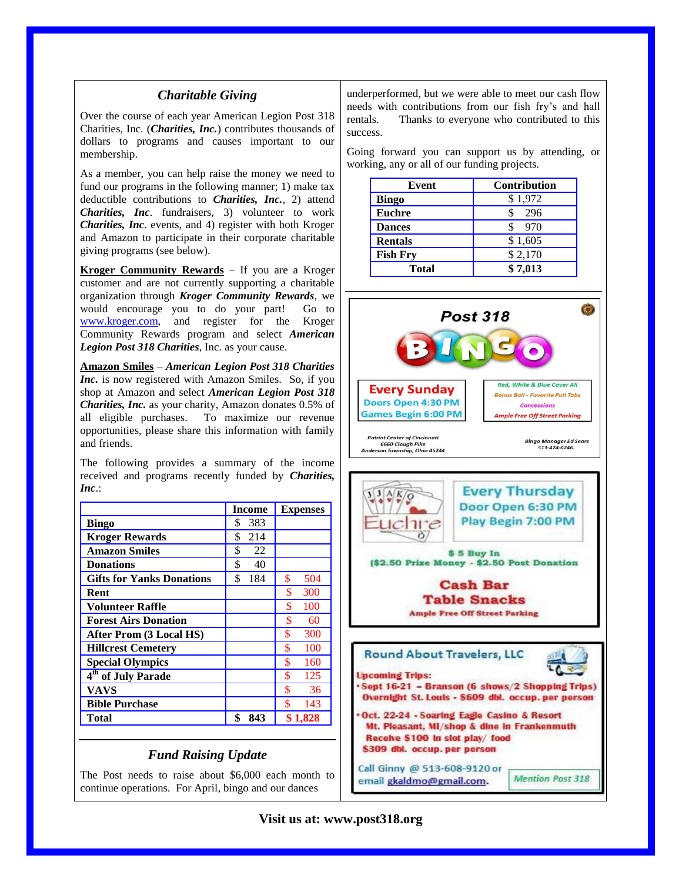### *Charitable Giving*

Over the course of each year American Legion Post 318 Charities, Inc. (*Charities, Inc.*) contributes thousands of dollars to programs and causes important to our membership.

As a member, you can help raise the money we need to fund our programs in the following manner; 1) make tax deductible contributions to *Charities, Inc.*, 2) attend *Charities, Inc*. fundraisers, 3) volunteer to work *Charities, Inc*. events, and 4) register with both Kroger and Amazon to participate in their corporate charitable giving programs (see below).

**Kroger Community Rewards** – If you are a Kroger customer and are not currently supporting a charitable organization through *Kroger Community Rewards*, we would encourage you to do your part! Go to [www.kroger.com,](http://www.kroger.com/) and register for the Kroger Community Rewards program and select *American Legion Post 318 Charities*, Inc. as your cause.

**Amazon Smiles** – *American Legion Post 318 Charities Inc.* is now registered with Amazon Smiles. So, if you shop at Amazon and select *American Legion Post 318 Charities, Inc.* as your charity, Amazon donates 0.5% of all eligible purchases. To maximize our revenue opportunities, please share this information with family and friends.

The following provides a summary of the income received and programs recently funded by *Charities, Inc*.:

|                                  | <b>Income</b> | <b>Expenses</b> |
|----------------------------------|---------------|-----------------|
| <b>Bingo</b>                     | \$<br>383     |                 |
| <b>Kroger Rewards</b>            | 214<br>\$     |                 |
| <b>Amazon Smiles</b>             | \$<br>22      |                 |
| <b>Donations</b>                 | \$<br>40      |                 |
| <b>Gifts for Yanks Donations</b> | \$<br>184     | \$<br>504       |
| Rent                             |               | \$<br>300       |
| <b>Volunteer Raffle</b>          |               | 100<br>\$       |
| <b>Forest Airs Donation</b>      |               | \$<br>60        |
| <b>After Prom (3 Local HS)</b>   |               | \$<br>300       |
| <b>Hillcrest Cemetery</b>        |               | \$<br>100       |
| <b>Special Olympics</b>          |               | \$<br>160       |
| 4 <sup>th</sup> of July Parade   |               | 125             |
| <b>VAVS</b>                      |               | \$<br>36        |
| <b>Bible Purchase</b>            |               | \$<br>143       |
| Total                            | \$<br>843     | \$1,828         |

### *Fund Raising Update*

The Post needs to raise about \$6,000 each month to continue operations. For April, bingo and our dances

underperformed, but we were able to meet our cash flow needs with contributions from our fish fry's and hall rentals. Thanks to everyone who contributed to this success.

Going forward you can support us by attending, or working, any or all of our funding projects.

| Event           | <b>Contribution</b> |
|-----------------|---------------------|
| <b>Bingo</b>    | \$1,972             |
| <b>Euchre</b>   | 296                 |
| <b>Dances</b>   | - 970               |
| <b>Rentals</b>  | \$1,605             |
| <b>Fish Fry</b> | \$2,170             |
| Total           | \$7,013             |



**Every Thursday** Door Open 6:30 PM Play Begin 7:00 PM  $|c|$ 11 $e$ Ò \$5 Buy In (\$2.50 Prize Money - \$2.50 Post Donation **Cash Bar Table Snacks Ample Free Off Street Parking** Round About Travelers, LLC **Upcoming Trips:** Sept 16-21 - Branson (6 shows/2 Shopping Trips) Overnight St. Louis - \$609 dbl. occup. per person Oct. 22-24 - Soaring Eagle Casino & Resort Mt. Pleasant, MI/shop & dine in Frankenmuth Receive \$100 In slot play/ food \$309 dbl. occup. per person Call Ginny @ 513-608-9120 or **Mention Post 318** email gkaldmo@gmail.com.

**Visit us at: www.post318.org**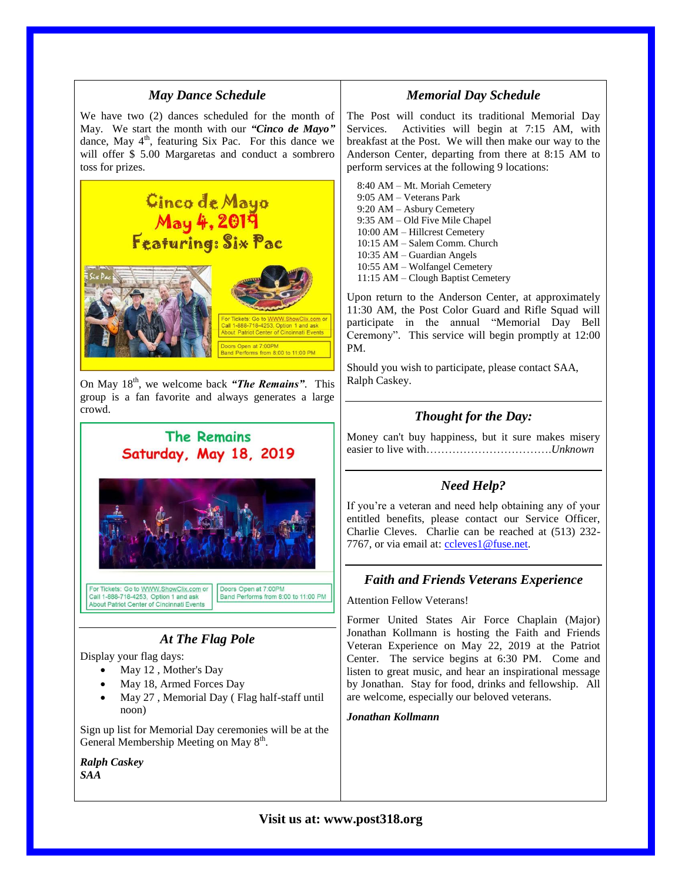

Sign up list for Memorial Day ceremonies will be at the

*Ralph Caskey SAA*

General Membership Meeting on May 8<sup>th</sup>.

# **Visit us at: www.post318.org**